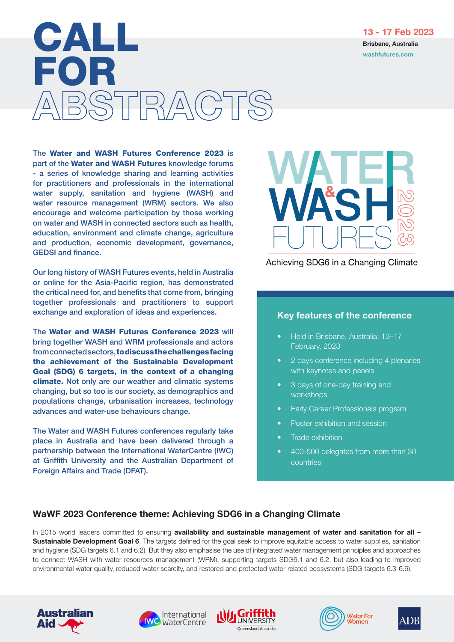**Brisbane, Australia CALLLE (School Australia)**<br>Brisbane, Australia Calculation (School Australia)<br>Washfutures.com FOR BSTRACT

The Water and WASH Futures Conference 2023 is part of the Water and WASH Futures knowledge forums - a series of knowledge sharing and learning activities for practitioners and professionals in the international water supply, sanitation and hygiene (WASH) and water resource management (WRM) sectors. We also encourage and welcome participation by those working on water and WASH in connected sectors such as health, education, environment and climate change, agriculture and production, economic development, governance, GEDSI and finance.

Our long history of WASH Futures events, held in Australia or online for the Asia-Pacific region, has demonstrated the critical need for, and benefits that come from, bringing together professionals and practitioners to support exchange and exploration of ideas and experiences.

The Water and WASH Futures Conference 2023 will bring together WASH and WRM professionals and actors from connected sectors, to discuss the challenges facing the achievement of the Sustainable Development Goal (SDG) 6 targets, in the context of a changing climate. Not only are our weather and climatic systems changing, but so too is our society, as demographics and populations change, urbanisation increases, technology advances and water-use behaviours change.

The Water and WASH Futures conferences regularly take place in Australia and have been delivered through a partnership between the International WaterCentre (IWC) at Griffith University and the Australian Department of Foreign Affairs and Trade (DFAT).



Achieving SDG6 in a Changing Climate

## Key features of the conference

- Held in Brisbane, Australia: 13–17 February, 2023
- 2 days conference including 4 plenaries with keynotes and panels
- 3 days of one-day training and workshops
- Early Career Professionals program
- Poster exhibition and session
- Trade exhibition
- 400-500 delegates from more than 30 countries

## WaWF 2023 Conference theme: Achieving SDG6 in a Changing Climate

In 2015 world leaders committed to ensuring availability and sustainable management of water and sanitation for all -Sustainable Development Goal 6. The targets defined for the goal seek to improve equitable access to water supplies, sanitation and hygiene (SDG targets 6.1 and 6.2). But they also emphasise the use of integrated water management principles and approaches to connect WASH with water resources management (WRM), supporting targets SDG6.1 and 6.2, but also leading to improved environmental water quality, reduced water scarcity, and restored and protected water-related ecosystems (SDG targets 6.3-6.6).











13 - 17 Feb 2023 **Brisbane, Australia**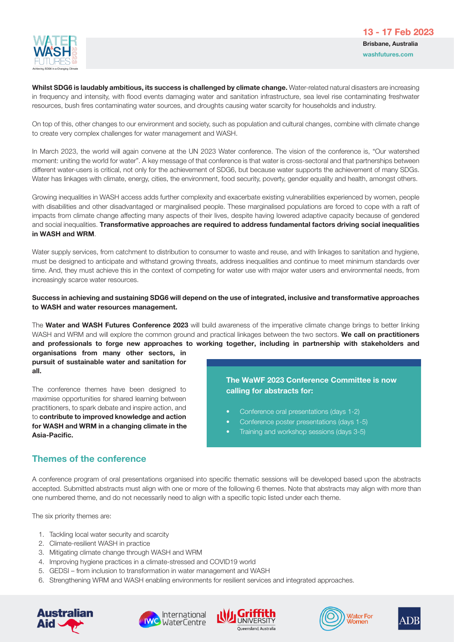

Whilst SDG6 is laudably ambitious, its success is challenged by climate change. Water-related natural disasters are increasing in frequency and intensity, with flood events damaging water and sanitation infrastructure, sea level rise contaminating freshwater resources, bush fires contaminating water sources, and droughts causing water scarcity for households and industry.

On top of this, other changes to our environment and society, such as population and cultural changes, combine with climate change to create very complex challenges for water management and WASH.

In March 2023, the world will again convene at the UN 2023 Water conference. The vision of the conference is, "Our watershed moment: uniting the world for water". A key message of that conference is that water is cross-sectoral and that partnerships between different water-users is critical, not only for the achievement of SDG6, but because water supports the achievement of many SDGs. Water has linkages with climate, energy, cities, the environment, food security, poverty, gender equality and health, amongst others.

Growing inequalities in WASH access adds further complexity and exacerbate existing vulnerabilities experienced by women, people with disabilities and other disadvantaged or marginalised people. These marginalised populations are forced to cope with a raft of impacts from climate change affecting many aspects of their lives, despite having lowered adaptive capacity because of gendered and social inequalities. Transformative approaches are required to address fundamental factors driving social inequalities in WASH and WRM.

Water supply services, from catchment to distribution to consumer to waste and reuse, and with linkages to sanitation and hygiene, must be designed to anticipate and withstand growing threats, address inequalities and continue to meet minimum standards over time. And, they must achieve this in the context of competing for water use with major water users and environmental needs, from increasingly scarce water resources.

### Success in achieving and sustaining SDG6 will depend on the use of integrated, inclusive and transformative approaches to WASH and water resources management.

The Water and WASH Futures Conference 2023 will build awareness of the imperative climate change brings to better linking WASH and WRM and will explore the common ground and practical linkages between the two sectors. We call on practitioners and professionals to forge new approaches to working together, including in partnership with stakeholders and

organisations from many other sectors, in pursuit of sustainable water and sanitation for all.

The conference themes have been designed to maximise opportunities for shared learning between practitioners, to spark debate and inspire action, and to contribute to improved knowledge and action for WASH and WRM in a changing climate in the Asia-Pacific.

## The WaWF 2023 Conference Committee is now calling for abstracts for:

- Conference oral presentations (days 1-2)
- Conference poster presentations (days 1-5)
- Training and workshop sessions (days 3-5)

## Themes of the conference

A conference program of oral presentations organised into specific thematic sessions will be developed based upon the abstracts accepted. Submitted abstracts must align with one or more of the following 6 themes. Note that abstracts may align with more than one numbered theme, and do not necessarily need to align with a specific topic listed under each theme.

The six priority themes are:

- 1. Tackling local water security and scarcity
- 2. Climate-resilient WASH in practice
- 3. Mitigating climate change through WASH and WRM
- 4. Improving hygiene practices in a climate-stressed and COVID19 world
- 5. GEDSI from inclusion to transformation in water management and WASH
- 6. Strengthening WRM and WASH enabling environments for resilient services and integrated approaches.









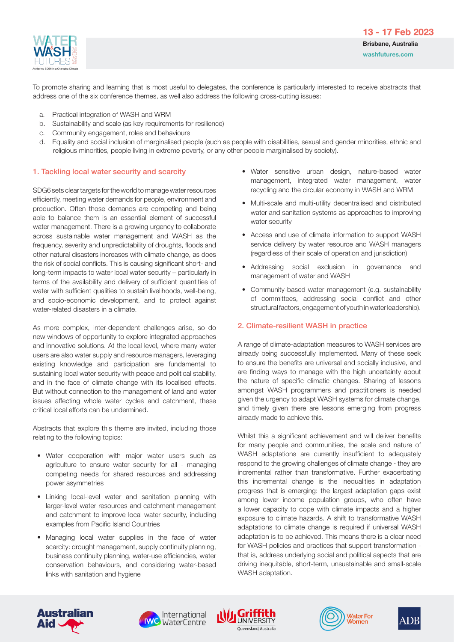

13 - 17 Feb 2023 Brisbane, Australia washfutures.com

To promote sharing and learning that is most useful to delegates, the conference is particularly interested to receive abstracts that address one of the six conference themes, as well also address the following cross-cutting issues:

- a. Practical integration of WASH and WRM
- b. Sustainability and scale (as key requirements for resilience)
- c. Community engagement, roles and behaviours
- d. Equality and social inclusion of marginalised people (such as people with disabilities, sexual and gender minorities, ethnic and religious minorities, people living in extreme poverty, or any other people marginalised by society).

### 1. Tackling local water security and scarcity

SDG6 sets clear targets for the world to manage water resources efficiently, meeting water demands for people, environment and production. Often those demands are competing and being able to balance them is an essential element of successful water management. There is a growing urgency to collaborate across sustainable water management and WASH as the frequency, severity and unpredictability of droughts, floods and other natural disasters increases with climate change, as does the risk of social conflicts. This is causing significant short- and long-term impacts to water local water security – particularly in terms of the availability and delivery of sufficient quantities of water with sufficient qualities to sustain livelihoods, well-being, and socio-economic development, and to protect against water-related disasters in a climate.

As more complex, inter-dependent challenges arise, so do new windows of opportunity to explore integrated approaches and innovative solutions. At the local level, where many water users are also water supply and resource managers, leveraging existing knowledge and participation are fundamental to sustaining local water security with peace and political stability, and in the face of climate change with its localised effects. But without connection to the management of land and water issues affecting whole water cycles and catchment, these critical local efforts can be undermined.

Abstracts that explore this theme are invited, including those relating to the following topics:

- Water cooperation with major water users such as agriculture to ensure water security for all - managing competing needs for shared resources and addressing power asymmetries
- Linking local-level water and sanitation planning with larger-level water resources and catchment management and catchment to improve local water security, including examples from Pacific Island Countries
- Managing local water supplies in the face of water scarcity: drought management, supply continuity planning, business continuity planning, water-use efficiencies, water conservation behaviours, and considering water-based links with sanitation and hygiene
- Water sensitive urban design, nature-based water management, integrated water management, water recycling and the circular economy in WASH and WRM
- Multi-scale and multi-utility decentralised and distributed water and sanitation systems as approaches to improving water security
- Access and use of climate information to support WASH service delivery by water resource and WASH managers (regardless of their scale of operation and jurisdiction)
- Addressing social exclusion in governance and management of water and WASH
- Community-based water management (e.g. sustainability of committees, addressing social conflict and other structural factors, engagement of youth in water leadership).

### 2. Climate-resilient WASH in practice

A range of climate-adaptation measures to WASH services are already being successfully implemented. Many of these seek to ensure the benefits are universal and socially inclusive, and are finding ways to manage with the high uncertainty about the nature of specific climatic changes. Sharing of lessons amongst WASH programmers and practitioners is needed given the urgency to adapt WASH systems for climate change, and timely given there are lessons emerging from progress already made to achieve this.

Whilst this a significant achievement and will deliver benefits for many people and communities, the scale and nature of WASH adaptations are currently insufficient to adequately respond to the growing challenges of climate change - they are incremental rather than transformative. Further exacerbating this incremental change is the inequalities in adaptation progress that is emerging: the largest adaptation gaps exist among lower income population groups, who often have a lower capacity to cope with climate impacts and a higher exposure to climate hazards. A shift to transformative WASH adaptations to climate change is required if universal WASH adaptation is to be achieved. This means there is a clear need for WASH policies and practices that support transformation that is, address underlying social and political aspects that are driving inequitable, short-term, unsustainable and small-scale WASH adaptation.









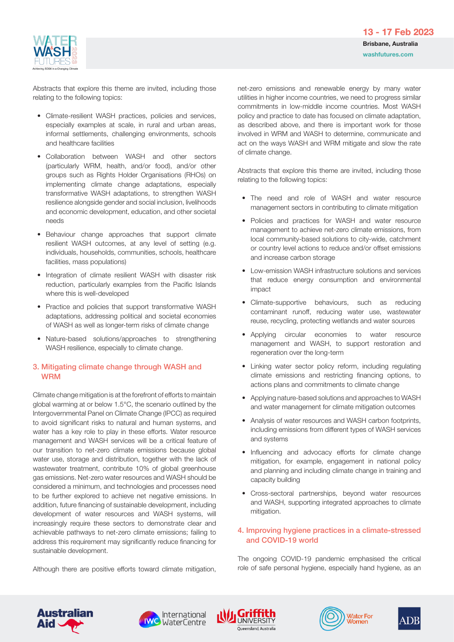

Abstracts that explore this theme are invited, including those relating to the following topics:

- Climate-resilient WASH practices, policies and services, especially examples at scale, in rural and urban areas, informal settlements, challenging environments, schools and healthcare facilities
- Collaboration between WASH and other sectors (particularly WRM, health, and/or food), and/or other groups such as Rights Holder Organisations (RHOs) on implementing climate change adaptations, especially transformative WASH adaptations, to strengthen WASH resilience alongside gender and social inclusion, livelihoods and economic development, education, and other societal needs
- Behaviour change approaches that support climate resilient WASH outcomes, at any level of setting (e.g. individuals, households, communities, schools, healthcare facilities, mass populations)
- Integration of climate resilient WASH with disaster risk reduction, particularly examples from the Pacific Islands where this is well-developed
- Practice and policies that support transformative WASH adaptations, addressing political and societal economies of WASH as well as longer-term risks of climate change
- Nature-based solutions/approaches to strengthening WASH resilience, especially to climate change.

### 3. Mitigating climate change through WASH and WRM

Climate change mitigation is at the forefront of efforts to maintain global warming at or below 1.5°C, the scenario outlined by the Intergovernmental Panel on Climate Change (IPCC) as required to avoid significant risks to natural and human systems, and water has a key role to play in these efforts. Water resource management and WASH services will be a critical feature of our transition to net-zero climate emissions because global water use, storage and distribution, together with the lack of wastewater treatment, contribute 10% of global greenhouse gas emissions. Net-zero water resources and WASH should be considered a minimum, and technologies and processes need to be further explored to achieve net negative emissions. In addition, future financing of sustainable development, including development of water resources and WASH systems, will increasingly require these sectors to demonstrate clear and achievable pathways to net-zero climate emissions; failing to address this requirement may significantly reduce financing for sustainable development.

Although there are positive efforts toward climate mitigation,

net-zero emissions and renewable energy by many water utilities in higher income countries, we need to progress similar commitments in low-middle income countries. Most WASH policy and practice to date has focused on climate adaptation, as described above, and there is important work for those involved in WRM and WASH to determine, communicate and act on the ways WASH and WRM mitigate and slow the rate of climate change.

Abstracts that explore this theme are invited, including those relating to the following topics:

- The need and role of WASH and water resource management sectors in contributing to climate mitigation
- Policies and practices for WASH and water resource management to achieve net-zero climate emissions, from local community-based solutions to city-wide, catchment or country level actions to reduce and/or offset emissions and increase carbon storage
- Low-emission WASH infrastructure solutions and services that reduce energy consumption and environmental impact
- Climate-supportive behaviours, such as reducing contaminant runoff, reducing water use, wastewater reuse, recycling, protecting wetlands and water sources
- Applying circular economies to water resource management and WASH, to support restoration and regeneration over the long-term
- Linking water sector policy reform, including regulating climate emissions and restricting financing options, to actions plans and commitments to climate change
- Applying nature-based solutions and approaches to WASH and water management for climate mitigation outcomes
- Analysis of water resources and WASH carbon footprints, including emissions from different types of WASH services and systems
- Influencing and advocacy efforts for climate change mitigation, for example, engagement in national policy and planning and including climate change in training and capacity building
- Cross-sectoral partnerships, beyond water resources and WASH, supporting integrated approaches to climate mitigation.

### 4. Improving hygiene practices in a climate-stressed and COVID-19 world

The ongoing COVID-19 pandemic emphasised the critical role of safe personal hygiene, especially hand hygiene, as an









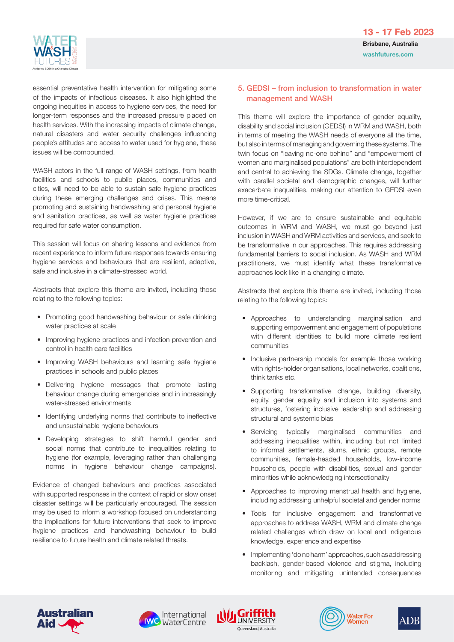

essential preventative health intervention for mitigating some of the impacts of infectious diseases. It also highlighted the ongoing inequities in access to hygiene services, the need for longer-term responses and the increased pressure placed on health services. With the increasing impacts of climate change, natural disasters and water security challenges influencing people's attitudes and access to water used for hygiene, these issues will be compounded.

WASH actors in the full range of WASH settings, from health facilities and schools to public places, communities and cities, will need to be able to sustain safe hygiene practices during these emerging challenges and crises. This means promoting and sustaining handwashing and personal hygiene and sanitation practices, as well as water hygiene practices required for safe water consumption.

This session will focus on sharing lessons and evidence from recent experience to inform future responses towards ensuring hygiene services and behaviours that are resilient, adaptive, safe and inclusive in a climate-stressed world.

Abstracts that explore this theme are invited, including those relating to the following topics:

- Promoting good handwashing behaviour or safe drinking water practices at scale
- Improving hygiene practices and infection prevention and control in health care facilities
- Improving WASH behaviours and learning safe hygiene practices in schools and public places
- Delivering hygiene messages that promote lasting behaviour change during emergencies and in increasingly water-stressed environments
- Identifying underlying norms that contribute to ineffective and unsustainable hygiene behaviours
- Developing strategies to shift harmful gender and social norms that contribute to inequalities relating to hygiene (for example, leveraging rather than challenging norms in hygiene behaviour change campaigns).

Evidence of changed behaviours and practices associated with supported responses in the context of rapid or slow onset disaster settings will be particularly encouraged. The session may be used to inform a workshop focused on understanding the implications for future interventions that seek to improve hygiene practices and handwashing behaviour to build resilience to future health and climate related threats.

### 5. GEDSI – from inclusion to transformation in water management and WASH

This theme will explore the importance of gender equality, disability and social inclusion (GEDSI) in WRM and WASH, both in terms of meeting the WASH needs of everyone all the time, but also in terms of managing and governing these systems. The twin focus on "leaving no-one behind" and "empowerment of women and marginalised populations" are both interdependent and central to achieving the SDGs. Climate change, together with parallel societal and demographic changes, will further exacerbate inequalities, making our attention to GEDSI even more time-critical.

However, if we are to ensure sustainable and equitable outcomes in WRM and WASH, we must go beyond just inclusion in WASH and WRM activities and services, and seek to be transformative in our approaches. This requires addressing fundamental barriers to social inclusion. As WASH and WRM practitioners, we must identify what these transformative approaches look like in a changing climate.

Abstracts that explore this theme are invited, including those relating to the following topics:

- Approaches to understanding marginalisation and supporting empowerment and engagement of populations with different identities to build more climate resilient communities
- Inclusive partnership models for example those working with rights-holder organisations, local networks, coalitions, think tanks etc.
- Supporting transformative change, building diversity, equity, gender equality and inclusion into systems and structures, fostering inclusive leadership and addressing structural and systemic bias
- Servicing typically marginalised communities and addressing inequalities within, including but not limited to informal settlements, slums, ethnic groups, remote communities, female-headed households, low-income households, people with disabilities, sexual and gender minorities while acknowledging intersectionality
- Approaches to improving menstrual health and hygiene, including addressing unhelpful societal and gender norms
- Tools for inclusive engagement and transformative approaches to address WASH, WRM and climate change related challenges which draw on local and indigenous knowledge, experience and expertise
- Implementing 'do no harm' approaches, such as addressing backlash, gender-based violence and stigma, including monitoring and mitigating unintended consequences









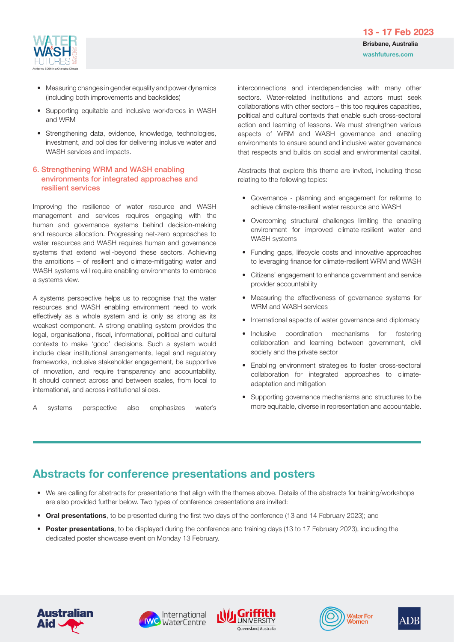

- Measuring changes in gender equality and power dynamics (including both improvements and backslides)
- Supporting equitable and inclusive workforces in WASH and WRM
- Strengthening data, evidence, knowledge, technologies, investment, and policies for delivering inclusive water and WASH services and impacts.

### 6. Strengthening WRM and WASH enabling environments for integrated approaches and resilient services

Improving the resilience of water resource and WASH management and services requires engaging with the human and governance systems behind decision-making and resource allocation. Progressing net-zero approaches to water resources and WASH requires human and governance systems that extend well-beyond these sectors. Achieving the ambitions – of resilient and climate-mitigating water and WASH systems will require enabling environments to embrace a systems view.

A systems perspective helps us to recognise that the water resources and WASH enabling environment need to work effectively as a whole system and is only as strong as its weakest component. A strong enabling system provides the legal, organisational, fiscal, informational, political and cultural contexts to make 'good' decisions. Such a system would include clear institutional arrangements, legal and regulatory frameworks, inclusive stakeholder engagement, be supportive of innovation, and require transparency and accountability. It should connect across and between scales, from local to international, and across institutional siloes.

A systems perspective also emphasizes water's

interconnections and interdependencies with many other sectors. Water-related institutions and actors must seek collaborations with other sectors – this too requires capacities, political and cultural contexts that enable such cross-sectoral action and learning of lessons. We must strengthen various aspects of WRM and WASH governance and enabling environments to ensure sound and inclusive water governance that respects and builds on social and environmental capital.

Abstracts that explore this theme are invited, including those relating to the following topics:

- Governance planning and engagement for reforms to achieve climate-resilient water resource and WASH
- Overcoming structural challenges limiting the enabling environment for improved climate-resilient water and WASH systems
- Funding gaps, lifecycle costs and innovative approaches to leveraging finance for climate-resilient WRM and WASH
- Citizens' engagement to enhance government and service provider accountability
- Measuring the effectiveness of governance systems for WRM and WASH services
- International aspects of water governance and diplomacy
- Inclusive coordination mechanisms for fostering collaboration and learning between government, civil society and the private sector
- Enabling environment strategies to foster cross-sectoral collaboration for integrated approaches to climateadaptation and mitigation
- Supporting governance mechanisms and structures to be more equitable, diverse in representation and accountable.

## Abstracts for conference presentations and posters

- We are calling for abstracts for presentations that align with the themes above. Details of the abstracts for training/workshops are also provided further below. Two types of conference presentations are invited:
- Oral presentations, to be presented during the first two days of the conference (13 and 14 February 2023); and
- Poster presentations, to be displayed during the conference and training days (13 to 17 February 2023), including the dedicated poster showcase event on Monday 13 February.









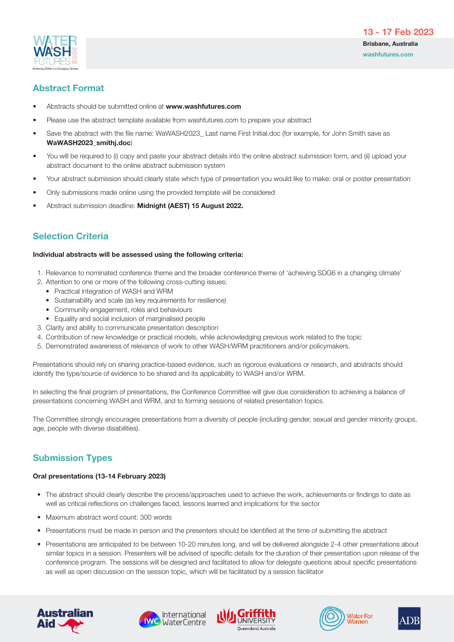

![](_page_6_Picture_1.jpeg)

## Abstract Format

- Abstracts should be submitted online at www.washfutures.com
- Please use the abstract template available from washfutures.com to prepare your abstract
- Save the abstract with the file name: WaWASH2023\_ Last name First Initial.doc (for example, for John Smith save as WaWASH2023\_smithj.doc)
- You will be required to (i) copy and paste your abstract details into the online abstract submission form, and (ii) upload your abstract document to the online abstract submission system
- Your abstract submission should clearly state which type of presentation you would like to make: oral or poster presentation
- Only submissions made online using the provided template will be considered
- Abstract submission deadline: Midnight (AEST) 15 August 2022.

## Selection Criteria

#### Individual abstracts will be assessed using the following criteria:

- 1. Relevance to nominated conference theme and the broader conference theme of 'achieving SDG6 in a changing climate'
- 2. Attention to one or more of the following cross-cutting issues:
	- Practical integration of WASH and WRM
	- Sustainability and scale (as key requirements for resilience)
	- Community engagement, roles and behaviours
	- Equality and social inclusion of marginalised people
- 3. Clarity and ability to communicate presentation description
- 4. Contribution of new knowledge or practical models, while acknowledging previous work related to the topic
- 5. Demonstrated awareness of relevance of work to other WASH/WRM practitioners and/or policymakers.

Presentations should rely on sharing practice-based evidence, such as rigorous evaluations or research, and abstracts should identify the type/source of evidence to be shared and its applicability to WASH and/or WRM.

In selecting the final program of presentations, the Conference Committee will give due consideration to achieving a balance of presentations concerning WASH and WRM, and to forming sessions of related presentation topics.

The Committee strongly encourages presentations from a diversity of people (including gender, sexual and gender minority groups, age, people with diverse disabilities).

## Submission Types

### Oral presentations (13-14 February 2023)

- The abstract should clearly describe the process/approaches used to achieve the work, achievements or findings to date as well as critical reflections on challenges faced, lessons learned and implications for the sector
- Maximum abstract word count: 300 words
- Presentations must be made in person and the presenters should be identified at the time of submitting the abstract
- Presentations are anticipated to be between 10-20 minutes long, and will be delivered alongside 2-4 other presentations about similar topics in a session. Presenters will be advised of specific details for the duration of their presentation upon release of the conference program. The sessions will be designed and facilitated to allow for delegate questions about specific presentations as well as open discussion on the session topic, which will be facilitated by a session facilitator

![](_page_6_Picture_30.jpeg)

![](_page_6_Picture_31.jpeg)

![](_page_6_Picture_32.jpeg)

![](_page_6_Picture_33.jpeg)

![](_page_6_Picture_34.jpeg)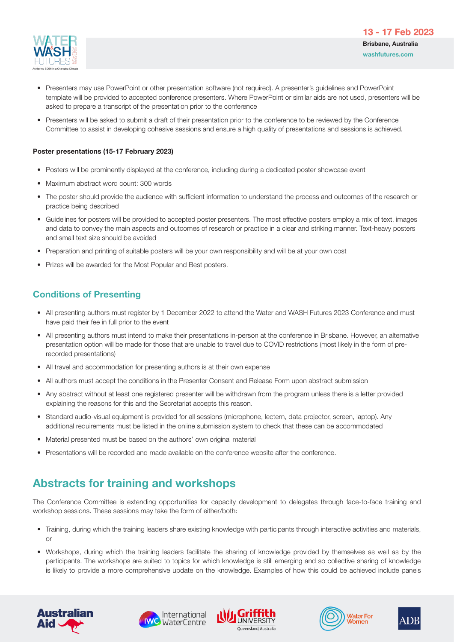![](_page_7_Picture_0.jpeg)

- Presenters may use PowerPoint or other presentation software (not required). A presenter's guidelines and PowerPoint template will be provided to accepted conference presenters. Where PowerPoint or similar aids are not used, presenters will be asked to prepare a transcript of the presentation prior to the conference
- Presenters will be asked to submit a draft of their presentation prior to the conference to be reviewed by the Conference Committee to assist in developing cohesive sessions and ensure a high quality of presentations and sessions is achieved.

#### Poster presentations (15-17 February 2023)

- Posters will be prominently displayed at the conference, including during a dedicated poster showcase event
- Maximum abstract word count: 300 words
- The poster should provide the audience with sufficient information to understand the process and outcomes of the research or practice being described
- Guidelines for posters will be provided to accepted poster presenters. The most effective posters employ a mix of text, images and data to convey the main aspects and outcomes of research or practice in a clear and striking manner. Text-heavy posters and small text size should be avoided
- Preparation and printing of suitable posters will be your own responsibility and will be at your own cost
- Prizes will be awarded for the Most Popular and Best posters.

## Conditions of Presenting

- All presenting authors must register by 1 December 2022 to attend the Water and WASH Futures 2023 Conference and must have paid their fee in full prior to the event
- All presenting authors must intend to make their presentations in-person at the conference in Brisbane. However, an alternative presentation option will be made for those that are unable to travel due to COVID restrictions (most likely in the form of prerecorded presentations)
- All travel and accommodation for presenting authors is at their own expense
- All authors must accept the conditions in the Presenter Consent and Release Form upon abstract submission
- Any abstract without at least one registered presenter will be withdrawn from the program unless there is a letter provided explaining the reasons for this and the Secretariat accepts this reason.
- Standard audio-visual equipment is provided for all sessions (microphone, lectern, data projector, screen, laptop). Any additional requirements must be listed in the online submission system to check that these can be accommodated
- Material presented must be based on the authors' own original material
- Presentations will be recorded and made available on the conference website after the conference.

## Abstracts for training and workshops

The Conference Committee is extending opportunities for capacity development to delegates through face-to-face training and workshop sessions. These sessions may take the form of either/both:

- Training, during which the training leaders share existing knowledge with participants through interactive activities and materials, or
- Workshops, during which the training leaders facilitate the sharing of knowledge provided by themselves as well as by the participants. The workshops are suited to topics for which knowledge is still emerging and so collective sharing of knowledge is likely to provide a more comprehensive update on the knowledge. Examples of how this could be achieved include panels

![](_page_7_Picture_24.jpeg)

![](_page_7_Picture_25.jpeg)

![](_page_7_Picture_26.jpeg)

![](_page_7_Picture_27.jpeg)

![](_page_7_Picture_28.jpeg)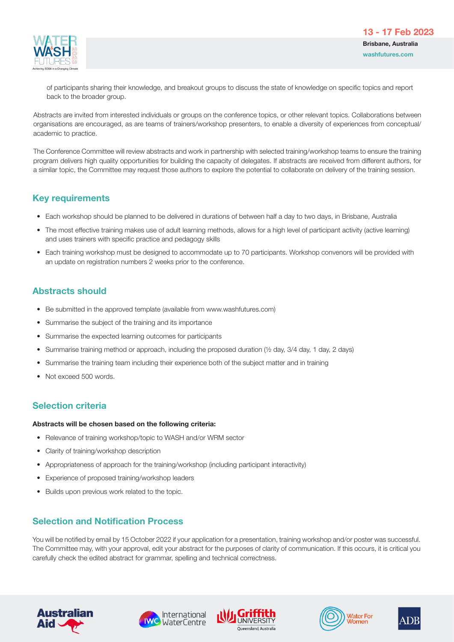![](_page_8_Picture_1.jpeg)

 of participants sharing their knowledge, and breakout groups to discuss the state of knowledge on specific topics and report back to the broader group.

Abstracts are invited from interested individuals or groups on the conference topics, or other relevant topics, Collaborations between organisations are encouraged, as are teams of trainers/workshop presenters, to enable a diversity of experiences from conceptual/ academic to practice.

The Conference Committee will review abstracts and work in partnership with selected training/workshop teams to ensure the training program delivers high quality opportunities for building the capacity of delegates. If abstracts are received from different authors, for a similar topic, the Committee may request those authors to explore the potential to collaborate on delivery of the training session.

## Key requirements

- Each workshop should be planned to be delivered in durations of between half a day to two days, in Brisbane, Australia
- The most effective training makes use of adult learning methods, allows for a high level of participant activity (active learning) and uses trainers with specific practice and pedagogy skills
- Each training workshop must be designed to accommodate up to 70 participants. Workshop convenors will be provided with an update on registration numbers 2 weeks prior to the conference.

## Abstracts should

- Be submitted in the approved template (available from www.washfutures.com)
- Summarise the subject of the training and its importance
- Summarise the expected learning outcomes for participants
- Summarise training method or approach, including the proposed duration (½ day, 3/4 day, 1 day, 2 days)
- Summarise the training team including their experience both of the subject matter and in training
- Not exceed 500 words.

## Selection criteria

### Abstracts will be chosen based on the following criteria:

- Relevance of training workshop/topic to WASH and/or WRM sector
- Clarity of training/workshop description
- Appropriateness of approach for the training/workshop (including participant interactivity)
- Experience of proposed training/workshop leaders
- Builds upon previous work related to the topic.

## Selection and Notification Process

You will be notified by email by 15 October 2022 if your application for a presentation, training workshop and/or poster was successful. The Committee may, with your approval, edit your abstract for the purposes of clarity of communication. If this occurs, it is critical you carefully check the edited abstract for grammar, spelling and technical correctness.

![](_page_8_Picture_25.jpeg)

![](_page_8_Picture_26.jpeg)

![](_page_8_Picture_27.jpeg)

![](_page_8_Picture_28.jpeg)

![](_page_8_Picture_29.jpeg)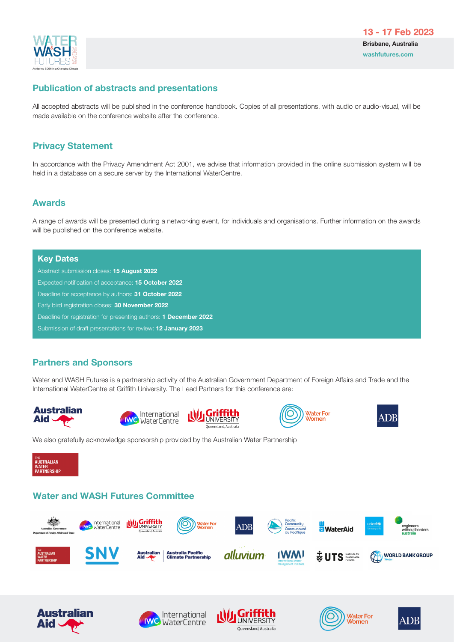![](_page_9_Picture_0.jpeg)

## Publication of abstracts and presentations

All accepted abstracts will be published in the conference handbook. Copies of all presentations, with audio or audio-visual, will be made available on the conference website after the conference.

## Privacy Statement

In accordance with the Privacy Amendment Act 2001, we advise that information provided in the online submission system will be held in a database on a secure server by the International WaterCentre.

## Awards

A range of awards will be presented during a networking event, for individuals and organisations. Further information on the awards will be published on the conference website.

### Key Dates

Abstract submission closes: 15 August 2022 Expected notification of acceptance: 15 October 2022 Deadline for acceptance by authors: 31 October 2022 Early bird registration closes: 30 November 2022 Deadline for registration for presenting authors: **1 December 2022** Submission of draft presentations for review: 12 January 2023

## Partners and Sponsors

Water and WASH Futures is a partnership activity of the Australian Government Department of Foreign Affairs and Trade and the International WaterCentre at Griffith University. The Lead Partners for this conference are:

![](_page_9_Picture_12.jpeg)

![](_page_9_Picture_13.jpeg)

![](_page_9_Picture_14.jpeg)

![](_page_9_Picture_15.jpeg)

![](_page_9_Picture_16.jpeg)

We also gratefully acknowledge sponsorship provided by the Australian Water Partnership

![](_page_9_Picture_18.jpeg)

## Water and WASH Futures Committee

![](_page_9_Picture_20.jpeg)

![](_page_9_Picture_21.jpeg)

![](_page_9_Picture_22.jpeg)

![](_page_9_Picture_23.jpeg)

![](_page_9_Picture_24.jpeg)

![](_page_9_Picture_25.jpeg)